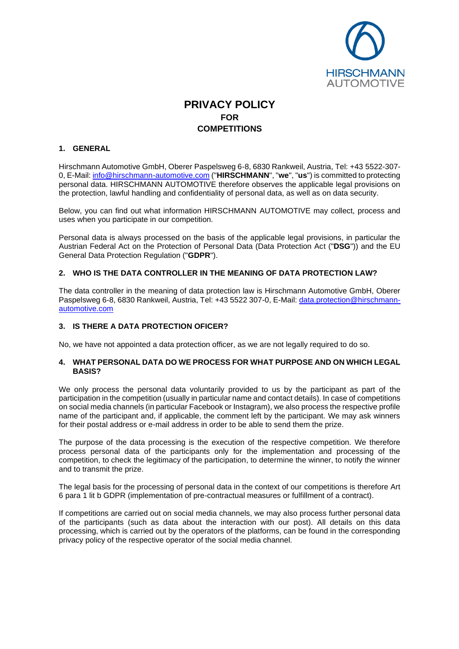

# **PRIVACY POLICY FOR COMPETITIONS**

# **1. GENERAL**

Hirschmann Automotive GmbH, Oberer Paspelsweg 6-8, 6830 Rankweil, Austria, Tel: +43 5522-307- 0, E-Mail: [info@hirschmann-automotive.com](mailto:info@hirschmann-automotive.com) ("**HIRSCHMANN**", "**we**", "**us**") is committed to protecting personal data. HIRSCHMANN AUTOMOTIVE therefore observes the applicable legal provisions on the protection, lawful handling and confidentiality of personal data, as well as on data security.

Below, you can find out what information HIRSCHMANN AUTOMOTIVE may collect, process and uses when you participate in our competition.

Personal data is always processed on the basis of the applicable legal provisions, in particular the Austrian Federal Act on the Protection of Personal Data (Data Protection Act ("**DSG**")) and the EU General Data Protection Regulation ("**GDPR**").

# **2. WHO IS THE DATA CONTROLLER IN THE MEANING OF DATA PROTECTION LAW?**

The data controller in the meaning of data protection law is Hirschmann Automotive GmbH, Oberer Paspelsweg 6-8, 6830 Rankweil, Austria, Tel: +43 5522 307-0, E-Mail: [data.protection@hirschmann](mailto:data.protection@hirschmann-automotive.com)[automotive.com](mailto:data.protection@hirschmann-automotive.com)

# **3. IS THERE A DATA PROTECTION OFICER?**

No, we have not appointed a data protection officer, as we are not legally required to do so.

#### **4. WHAT PERSONAL DATA DO WE PROCESS FOR WHAT PURPOSE AND ON WHICH LEGAL BASIS?**

We only process the personal data voluntarily provided to us by the participant as part of the participation in the competition (usually in particular name and contact details). In case of competitions on social media channels (in particular Facebook or Instagram), we also process the respective profile name of the participant and, if applicable, the comment left by the participant. We may ask winners for their postal address or e-mail address in order to be able to send them the prize.

The purpose of the data processing is the execution of the respective competition. We therefore process personal data of the participants only for the implementation and processing of the competition, to check the legitimacy of the participation, to determine the winner, to notify the winner and to transmit the prize.

The legal basis for the processing of personal data in the context of our competitions is therefore Art 6 para 1 lit b GDPR (implementation of pre-contractual measures or fulfillment of a contract).

If competitions are carried out on social media channels, we may also process further personal data of the participants (such as data about the interaction with our post). All details on this data processing, which is carried out by the operators of the platforms, can be found in the corresponding privacy policy of the respective operator of the social media channel.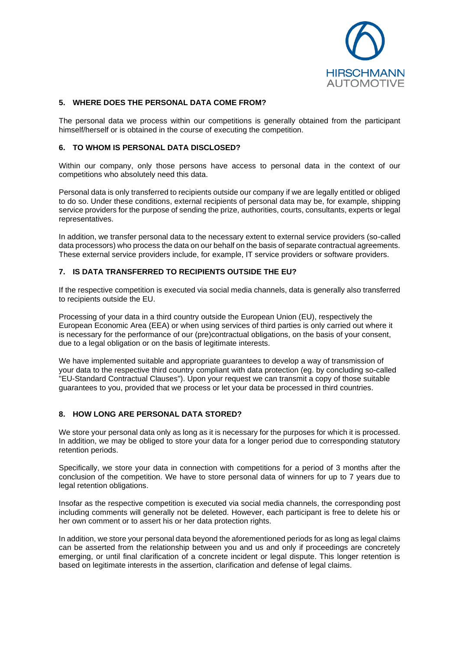

## **5. WHERE DOES THE PERSONAL DATA COME FROM?**

The personal data we process within our competitions is generally obtained from the participant himself/herself or is obtained in the course of executing the competition.

# **6. TO WHOM IS PERSONAL DATA DISCLOSED?**

Within our company, only those persons have access to personal data in the context of our competitions who absolutely need this data.

Personal data is only transferred to recipients outside our company if we are legally entitled or obliged to do so. Under these conditions, external recipients of personal data may be, for example, shipping service providers for the purpose of sending the prize, authorities, courts, consultants, experts or legal representatives.

In addition, we transfer personal data to the necessary extent to external service providers (so-called data processors) who process the data on our behalf on the basis of separate contractual agreements. These external service providers include, for example, IT service providers or software providers.

## **7. IS DATA TRANSFERRED TO RECIPIENTS OUTSIDE THE EU?**

If the respective competition is executed via social media channels, data is generally also transferred to recipients outside the EU.

Processing of your data in a third country outside the European Union (EU), respectively the European Economic Area (EEA) or when using services of third parties is only carried out where it is necessary for the performance of our (pre)contractual obligations, on the basis of your consent, due to a legal obligation or on the basis of legitimate interests.

We have implemented suitable and appropriate guarantees to develop a way of transmission of your data to the respective third country compliant with data protection (eg. by concluding so-called "EU-Standard Contractual Clauses"). Upon your request we can transmit a copy of those suitable guarantees to you, provided that we process or let your data be processed in third countries.

# **8. HOW LONG ARE PERSONAL DATA STORED?**

We store your personal data only as long as it is necessary for the purposes for which it is processed. In addition, we may be obliged to store your data for a longer period due to corresponding statutory retention periods.

Specifically, we store your data in connection with competitions for a period of 3 months after the conclusion of the competition. We have to store personal data of winners for up to 7 years due to legal retention obligations.

Insofar as the respective competition is executed via social media channels, the corresponding post including comments will generally not be deleted. However, each participant is free to delete his or her own comment or to assert his or her data protection rights.

In addition, we store your personal data beyond the aforementioned periods for as long as legal claims can be asserted from the relationship between you and us and only if proceedings are concretely emerging, or until final clarification of a concrete incident or legal dispute. This longer retention is based on legitimate interests in the assertion, clarification and defense of legal claims.